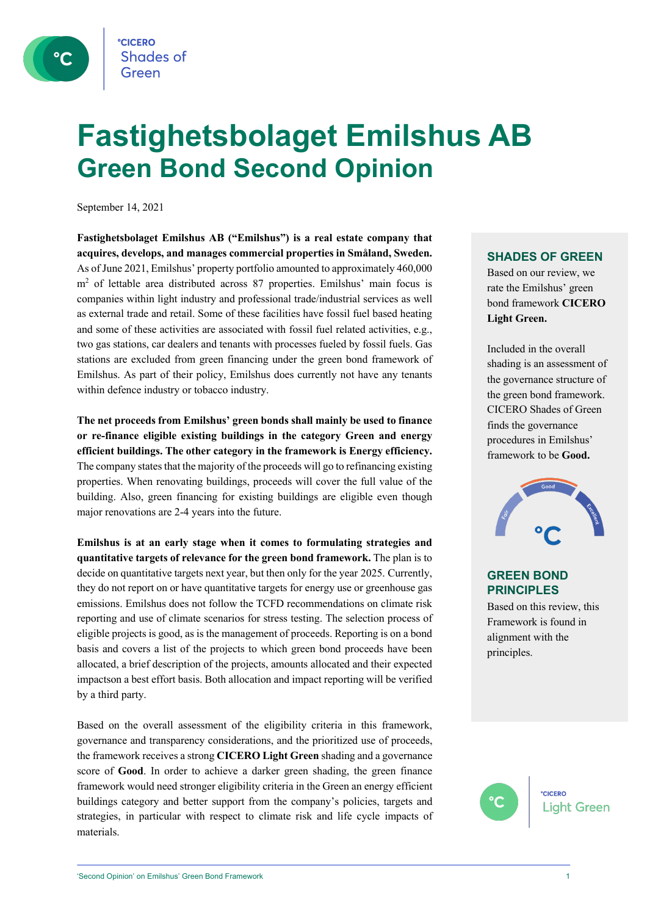

# **Fastighetsbolaget Emilshus AB Green Bond Second Opinion**

September 14, 2021

**Fastighetsbolaget Emilshus AB ("Emilshus") is a real estate company that acquires, develops, and manages commercial properties in Småland, Sweden.** As of June 2021, Emilshus' property portfolio amounted to approximately 460,000 m<sup>2</sup> of lettable area distributed across 87 properties. Emilshus' main focus is companies within light industry and professional trade/industrial services as well as external trade and retail. Some of these facilities have fossil fuel based heating and some of these activities are associated with fossil fuel related activities, e.g., two gas stations, car dealers and tenants with processes fueled by fossil fuels. Gas stations are excluded from green financing under the green bond framework of Emilshus. As part of their policy, Emilshus does currently not have any tenants within defence industry or tobacco industry.

**The net proceeds from Emilshus' green bonds shall mainly be used to finance or re-finance eligible existing buildings in the category Green and energy efficient buildings. The other category in the framework is Energy efficiency.**  The company states that the majority of the proceeds will go to refinancing existing properties. When renovating buildings, proceeds will cover the full value of the building. Also, green financing for existing buildings are eligible even though major renovations are 2-4 years into the future.

**Emilshus is at an early stage when it comes to formulating strategies and quantitative targets of relevance for the green bond framework.** The plan is to decide on quantitative targets next year, but then only for the year 2025. Currently, they do not report on or have quantitative targets for energy use or greenhouse gas emissions. Emilshus does not follow the TCFD recommendations on climate risk reporting and use of climate scenarios for stress testing. The selection process of eligible projects is good, as is the management of proceeds. Reporting is on a bond basis and covers a list of the projects to which green bond proceeds have been allocated, a brief description of the projects, amounts allocated and their expected impactson a best effort basis. Both allocation and impact reporting will be verified by a third party.

Based on the overall assessment of the eligibility criteria in this framework, governance and transparency considerations, and the prioritized use of proceeds, the framework receives a strong **CICERO Light Green** shading and a governance score of **Good**. In order to achieve a darker green shading, the green finance framework would need stronger eligibility criteria in the Green an energy efficient buildings category and better support from the company's policies, targets and strategies, in particular with respect to climate risk and life cycle impacts of materials.

#### **SHADES OF GREEN**

Based on our review, we rate the Emilshus' green bond framework **CICERO Light Green.** 

Included in the overall shading is an assessment of the governance structure of the green bond framework. CICERO Shades of Green finds the governance procedures in Emilshus' framework to be **Good.**



#### **GREEN BOND PRINCIPLES**

Based on this review, this Framework is found in alignment with the principles.

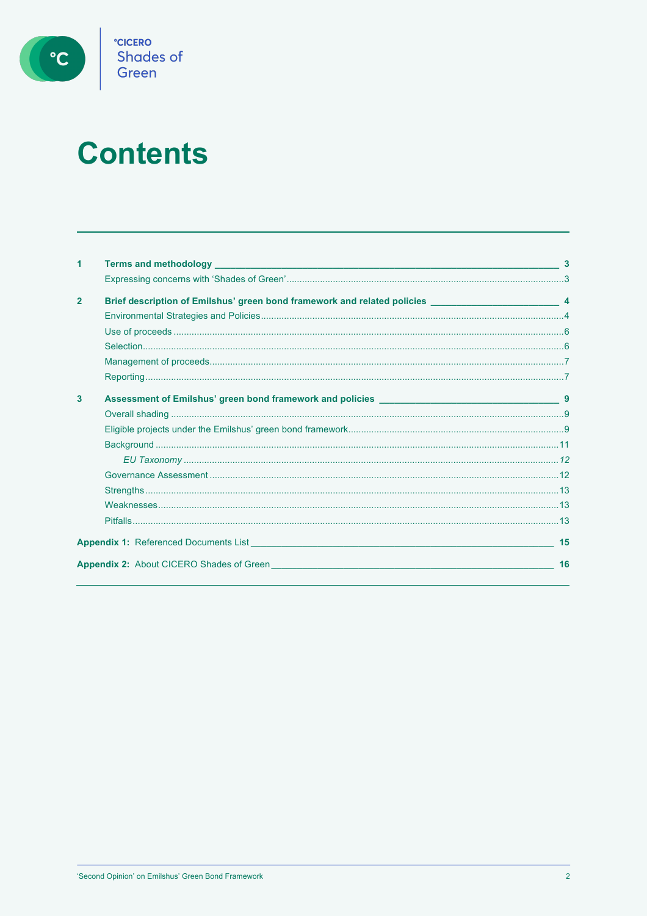

# **Contents**

| 1            |                                                                                                                                                                                                                                         |    |
|--------------|-----------------------------------------------------------------------------------------------------------------------------------------------------------------------------------------------------------------------------------------|----|
|              |                                                                                                                                                                                                                                         |    |
| $\mathbf{2}$ |                                                                                                                                                                                                                                         |    |
|              |                                                                                                                                                                                                                                         |    |
|              |                                                                                                                                                                                                                                         |    |
|              |                                                                                                                                                                                                                                         |    |
|              |                                                                                                                                                                                                                                         |    |
|              |                                                                                                                                                                                                                                         |    |
| 3            |                                                                                                                                                                                                                                         |    |
|              |                                                                                                                                                                                                                                         |    |
|              |                                                                                                                                                                                                                                         |    |
|              |                                                                                                                                                                                                                                         |    |
|              |                                                                                                                                                                                                                                         |    |
|              |                                                                                                                                                                                                                                         |    |
|              |                                                                                                                                                                                                                                         |    |
|              |                                                                                                                                                                                                                                         |    |
|              |                                                                                                                                                                                                                                         |    |
|              | <b>Appendix 1:</b> Referenced Documents List <b>Example 2008 Contract Contract Contract Contract Contract Contract Contract Contract Contract Contract Contract Contract Contract Contract Contract Contract Contract Contract Cont</b> | 15 |
|              | <b>Appendix 2:</b> About CICERO Shades of Green <b>Contract Contract Contract City Contract Contract City Contract City</b>                                                                                                             | 16 |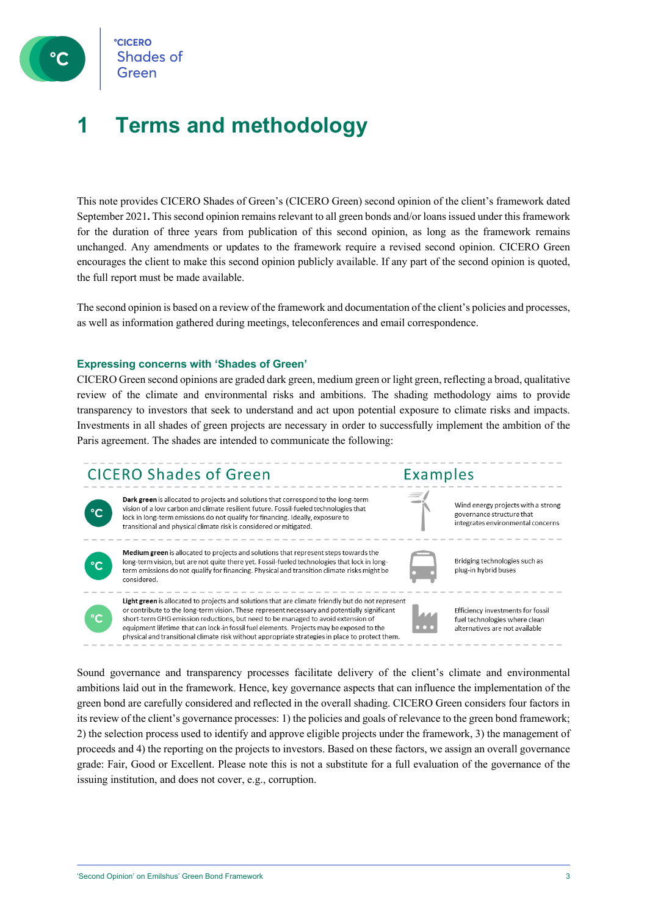

**CICERO Shades of** 

### **1 Terms and methodology**

This note provides CICERO Shades of Green's (CICERO Green) second opinion of the client's framework dated September 2021**.** This second opinion remains relevant to all green bonds and/or loansissued under this framework for the duration of three years from publication of this second opinion, as long as the framework remains unchanged. Any amendments or updates to the framework require a revised second opinion. CICERO Green encourages the client to make this second opinion publicly available. If any part of the second opinion is quoted, the full report must be made available.

The second opinion is based on a review of the framework and documentation of the client's policies and processes, as well as information gathered during meetings, teleconferences and email correspondence.

#### **Expressing concerns with 'Shades of Green'**

CICERO Green second opinions are graded dark green, medium green or light green, reflecting a broad, qualitative review of the climate and environmental risks and ambitions. The shading methodology aims to provide transparency to investors that seek to understand and act upon potential exposure to climate risks and impacts. Investments in all shades of green projects are necessary in order to successfully implement the ambition of the Paris agreement. The shades are intended to communicate the following:

### CICERO Shades of Green



Dark green is allocated to projects and solutions that correspond to the long-term vision of a low carbon and climate resilient future. Fossil-fueled technologies that lock in long-term emissions do not qualify for financing. Ideally, exposure to transitional and physical climate risk is considered or mitigated.



Medium green is allocated to projects and solutions that represent steps towards the long-term vision, but are not quite there yet. Fossil-fueled technologies that lock in longterm emissions do not qualify for financing. Physical and transition climate risks might be considered.



physical and transitional climate risk without appropriate strategies in place to protect them.

Bridging technologies such as plug-in hybrid buses

Wind energy projects with a strong

integrates environmental concerns

governance structure that

Examples



Sound governance and transparency processes facilitate delivery of the client's climate and environmental ambitions laid out in the framework. Hence, key governance aspects that can influence the implementation of the green bond are carefully considered and reflected in the overall shading. CICERO Green considers four factors in its review of the client's governance processes: 1) the policies and goals of relevance to the green bond framework; 2) the selection process used to identify and approve eligible projects under the framework, 3) the management of proceeds and 4) the reporting on the projects to investors. Based on these factors, we assign an overall governance grade: Fair, Good or Excellent. Please note this is not a substitute for a full evaluation of the governance of the issuing institution, and does not cover, e.g., corruption.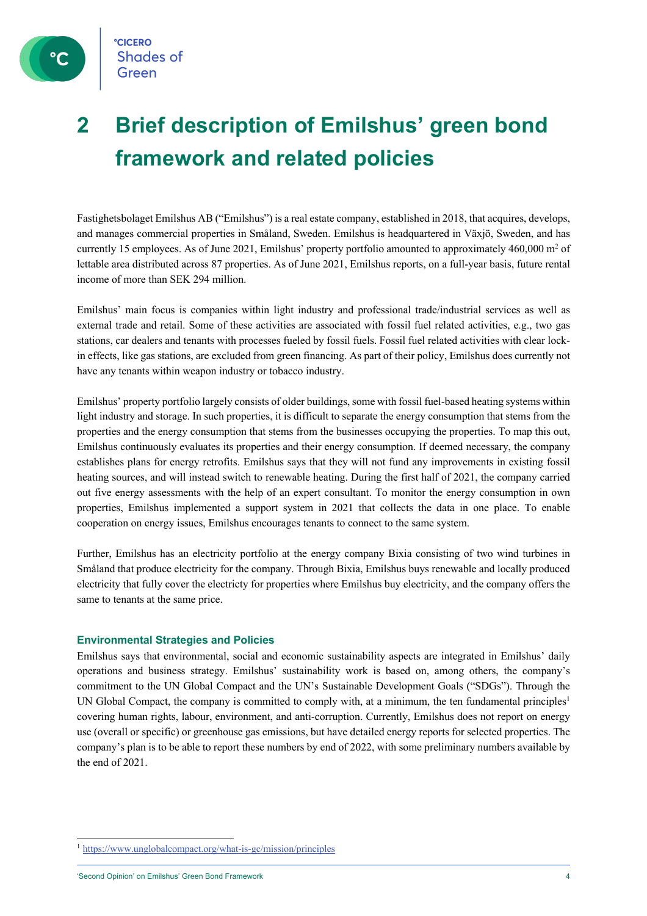

### **2 Brief description of Emilshus' green bond framework and related policies**

Fastighetsbolaget Emilshus AB ("Emilshus") is a real estate company, established in 2018, that acquires, develops, and manages commercial properties in Småland, Sweden. Emilshus is headquartered in Växjö, Sweden, and has currently 15 employees. As of June 2021, Emilshus' property portfolio amounted to approximately  $460,000 \text{ m}^2$  of lettable area distributed across 87 properties. As of June 2021, Emilshus reports, on a full-year basis, future rental income of more than SEK 294 million.

Emilshus' main focus is companies within light industry and professional trade/industrial services as well as external trade and retail. Some of these activities are associated with fossil fuel related activities, e.g., two gas stations, car dealers and tenants with processes fueled by fossil fuels. Fossil fuel related activities with clear lockin effects, like gas stations, are excluded from green financing. As part of their policy, Emilshus does currently not have any tenants within weapon industry or tobacco industry.

Emilshus' property portfolio largely consists of older buildings, some with fossil fuel-based heating systems within light industry and storage. In such properties, it is difficult to separate the energy consumption that stems from the properties and the energy consumption that stems from the businesses occupying the properties. To map this out, Emilshus continuously evaluates its properties and their energy consumption. If deemed necessary, the company establishes plans for energy retrofits. Emilshus says that they will not fund any improvements in existing fossil heating sources, and will instead switch to renewable heating. During the first half of 2021, the company carried out five energy assessments with the help of an expert consultant. To monitor the energy consumption in own properties, Emilshus implemented a support system in 2021 that collects the data in one place. To enable cooperation on energy issues, Emilshus encourages tenants to connect to the same system.

Further, Emilshus has an electricity portfolio at the energy company Bixia consisting of two wind turbines in Småland that produce electricity for the company. Through Bixia, Emilshus buys renewable and locally produced electricity that fully cover the electricty for properties where Emilshus buy electricity, and the company offers the same to tenants at the same price.

#### **Environmental Strategies and Policies**

Emilshus says that environmental, social and economic sustainability aspects are integrated in Emilshus' daily operations and business strategy. Emilshus' sustainability work is based on, among others, the company's commitment to the UN Global Compact and the UN's Sustainable Development Goals ("SDGs"). Through the UN Global Compact, the company is committed to comply with, at a minimum, the ten fundamental principles<sup>1</sup> covering human rights, labour, environment, and anti-corruption. Currently, Emilshus does not report on energy use (overall or specific) or greenhouse gas emissions, but have detailed energy reports for selected properties. The company's plan is to be able to report these numbers by end of 2022, with some preliminary numbers available by the end of 2021.

<sup>1</sup> https://www.unglobalcompact.org/what-is-gc/mission/principles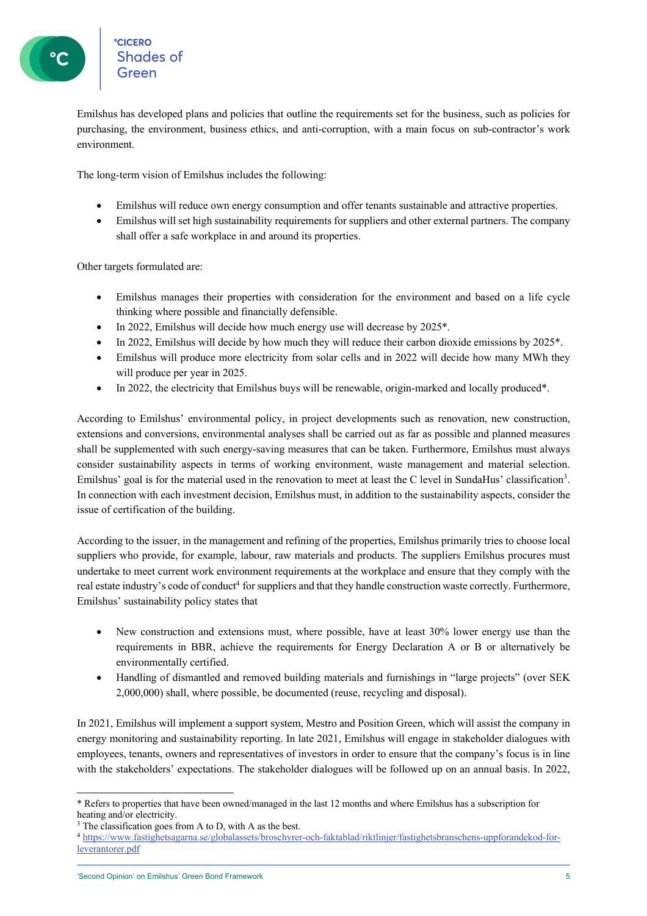Emilshus has developed plans and policies that outline the requirements set for the business, such as policies for purchasing, the environment, business ethics, and anti-corruption, with a main focus on sub-contractor's work environment.

The long-term vision of Emilshus includes the following:

- Emilshus will reduce own energy consumption and offer tenants sustainable and attractive properties.
- Emilshus will set high sustainability requirements for suppliers and other external partners. The company shall offer a safe workplace in and around its properties.

Other targets formulated are:

- Emilshus manages their properties with consideration for the environment and based on a life cycle thinking where possible and financially defensible.
- In 2022, Emilshus will decide how much energy use will decrease by 2025\*.
- In 2022, Emilshus will decide by how much they will reduce their carbon dioxide emissions by 2025<sup>\*</sup>.
- Emilshus will produce more electricity from solar cells and in 2022 will decide how many MWh they will produce per year in 2025.
- In 2022, the electricity that Emilshus buys will be renewable, origin-marked and locally produced\*.

According to Emilshus' environmental policy, in project developments such as renovation, new construction, extensions and conversions, environmental analyses shall be carried out as far as possible and planned measures shall be supplemented with such energy-saving measures that can be taken. Furthermore, Emilshus must always consider sustainability aspects in terms of working environment, waste management and material selection. Emilshus' goal is for the material used in the renovation to meet at least the C level in SundaHus' classification<sup>3</sup>. In connection with each investment decision, Emilshus must, in addition to the sustainability aspects, consider the issue of certification of the building.

According to the issuer, in the management and refining of the properties, Emilshus primarily tries to choose local suppliers who provide, for example, labour, raw materials and products. The suppliers Emilshus procures must undertake to meet current work environment requirements at the workplace and ensure that they comply with the real estate industry's code of conduct<sup>4</sup> for suppliers and that they handle construction waste correctly. Furthermore, Emilshus' sustainability policy states that

- New construction and extensions must, where possible, have at least 30% lower energy use than the requirements in BBR, achieve the requirements for Energy Declaration A or B or alternatively be environmentally certified.
- Handling of dismantled and removed building materials and furnishings in "large projects" (over SEK 2,000,000) shall, where possible, be documented (reuse, recycling and disposal).

In 2021, Emilshus will implement a support system, Mestro and Position Green, which will assist the company in energy monitoring and sustainability reporting. In late 2021, Emilshus will engage in stakeholder dialogues with employees, tenants, owners and representatives of investors in order to ensure that the company's focus is in line with the stakeholders' expectations. The stakeholder dialogues will be followed up on an annual basis. In 2022,

<sup>\*</sup> Refers to properties that have been owned/managed in the last 12 months and where Emilshus has a subscription for heating and/or electricity.

<sup>&</sup>lt;sup>3</sup> The classification goes from A to D, with A as the best.

<sup>4</sup> https://www.fastighetsagarna.se/globalassets/broschyrer-och-faktablad/riktlinjer/fastighetsbranschens-uppforandekod-forleverantorer.pdf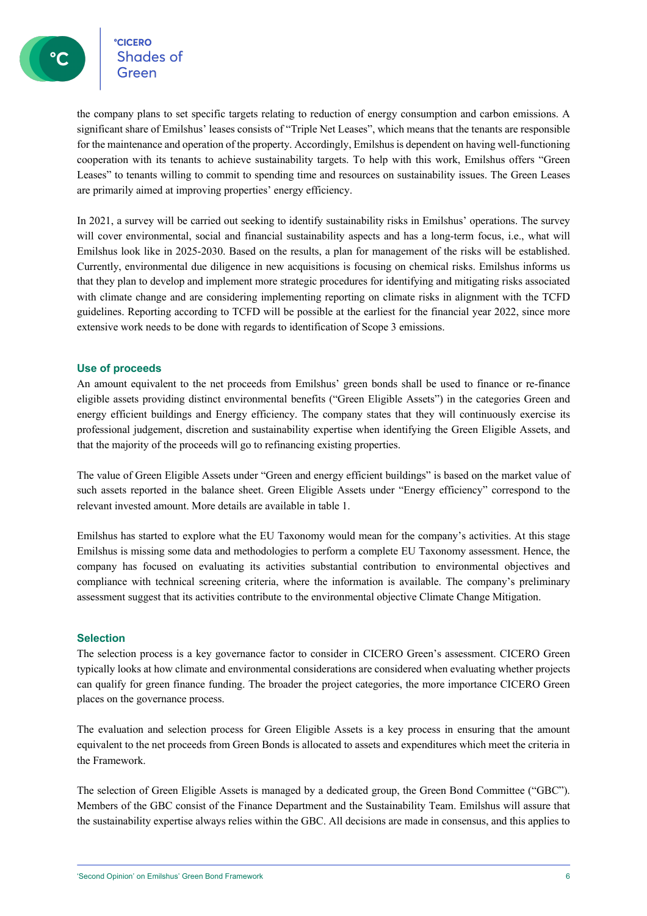ecicero<br>Shades of

the company plans to set specific targets relating to reduction of energy consumption and carbon emissions. A significant share of Emilshus' leases consists of "Triple Net Leases", which means that the tenants are responsible for the maintenance and operation of the property. Accordingly, Emilshus is dependent on having well-functioning cooperation with its tenants to achieve sustainability targets. To help with this work, Emilshus offers "Green Leases" to tenants willing to commit to spending time and resources on sustainability issues. The Green Leases are primarily aimed at improving properties' energy efficiency.

In 2021, a survey will be carried out seeking to identify sustainability risks in Emilshus' operations. The survey will cover environmental, social and financial sustainability aspects and has a long-term focus, i.e., what will Emilshus look like in 2025-2030. Based on the results, a plan for management of the risks will be established. Currently, environmental due diligence in new acquisitions is focusing on chemical risks. Emilshus informs us that they plan to develop and implement more strategic procedures for identifying and mitigating risks associated with climate change and are considering implementing reporting on climate risks in alignment with the TCFD guidelines. Reporting according to TCFD will be possible at the earliest for the financial year 2022, since more extensive work needs to be done with regards to identification of Scope 3 emissions.

#### **Use of proceeds**

An amount equivalent to the net proceeds from Emilshus' green bonds shall be used to finance or re-finance eligible assets providing distinct environmental benefits ("Green Eligible Assets") in the categories Green and energy efficient buildings and Energy efficiency. The company states that they will continuously exercise its professional judgement, discretion and sustainability expertise when identifying the Green Eligible Assets, and that the majority of the proceeds will go to refinancing existing properties.

The value of Green Eligible Assets under "Green and energy efficient buildings" is based on the market value of such assets reported in the balance sheet. Green Eligible Assets under "Energy efficiency" correspond to the relevant invested amount. More details are available in table 1.

Emilshus has started to explore what the EU Taxonomy would mean for the company's activities. At this stage Emilshus is missing some data and methodologies to perform a complete EU Taxonomy assessment. Hence, the company has focused on evaluating its activities substantial contribution to environmental objectives and compliance with technical screening criteria, where the information is available. The company's preliminary assessment suggest that its activities contribute to the environmental objective Climate Change Mitigation.

#### **Selection**

The selection process is a key governance factor to consider in CICERO Green's assessment. CICERO Green typically looks at how climate and environmental considerations are considered when evaluating whether projects can qualify for green finance funding. The broader the project categories, the more importance CICERO Green places on the governance process.

The evaluation and selection process for Green Eligible Assets is a key process in ensuring that the amount equivalent to the net proceeds from Green Bonds is allocated to assets and expenditures which meet the criteria in the Framework.

The selection of Green Eligible Assets is managed by a dedicated group, the Green Bond Committee ("GBC"). Members of the GBC consist of the Finance Department and the Sustainability Team. Emilshus will assure that the sustainability expertise always relies within the GBC. All decisions are made in consensus, and this applies to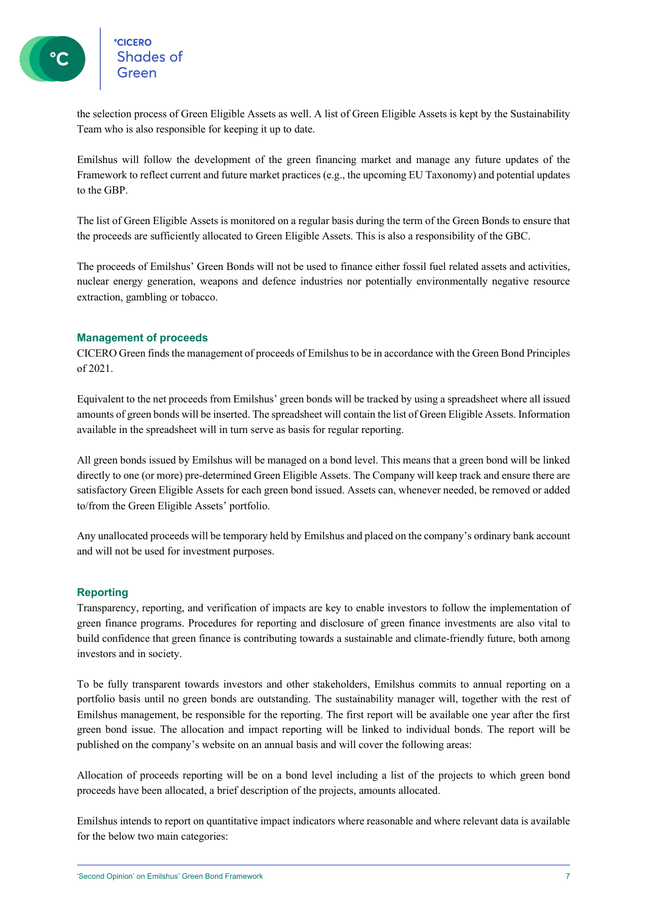the selection process of Green Eligible Assets as well. A list of Green Eligible Assets is kept by the Sustainability Team who is also responsible for keeping it up to date.

Emilshus will follow the development of the green financing market and manage any future updates of the Framework to reflect current and future market practices (e.g., the upcoming EU Taxonomy) and potential updates to the GBP.

The list of Green Eligible Assets is monitored on a regular basis during the term of the Green Bonds to ensure that the proceeds are sufficiently allocated to Green Eligible Assets. This is also a responsibility of the GBC.

The proceeds of Emilshus' Green Bonds will not be used to finance either fossil fuel related assets and activities, nuclear energy generation, weapons and defence industries nor potentially environmentally negative resource extraction, gambling or tobacco.

#### **Management of proceeds**

CICERO Green finds the management of proceeds of Emilshusto be in accordance with the Green Bond Principles of 2021.

Equivalent to the net proceeds from Emilshus' green bonds will be tracked by using a spreadsheet where all issued amounts of green bonds will be inserted. The spreadsheet will contain the list of Green Eligible Assets. Information available in the spreadsheet will in turn serve as basis for regular reporting.

All green bonds issued by Emilshus will be managed on a bond level. This means that a green bond will be linked directly to one (or more) pre-determined Green Eligible Assets. The Company will keep track and ensure there are satisfactory Green Eligible Assets for each green bond issued. Assets can, whenever needed, be removed or added to/from the Green Eligible Assets' portfolio.

Any unallocated proceeds will be temporary held by Emilshus and placed on the company's ordinary bank account and will not be used for investment purposes.

#### **Reporting**

Transparency, reporting, and verification of impacts are key to enable investors to follow the implementation of green finance programs. Procedures for reporting and disclosure of green finance investments are also vital to build confidence that green finance is contributing towards a sustainable and climate-friendly future, both among investors and in society.

To be fully transparent towards investors and other stakeholders, Emilshus commits to annual reporting on a portfolio basis until no green bonds are outstanding. The sustainability manager will, together with the rest of Emilshus management, be responsible for the reporting. The first report will be available one year after the first green bond issue. The allocation and impact reporting will be linked to individual bonds. The report will be published on the company's website on an annual basis and will cover the following areas:

Allocation of proceeds reporting will be on a bond level including a list of the projects to which green bond proceeds have been allocated, a brief description of the projects, amounts allocated.

Emilshus intends to report on quantitative impact indicators where reasonable and where relevant data is available for the below two main categories: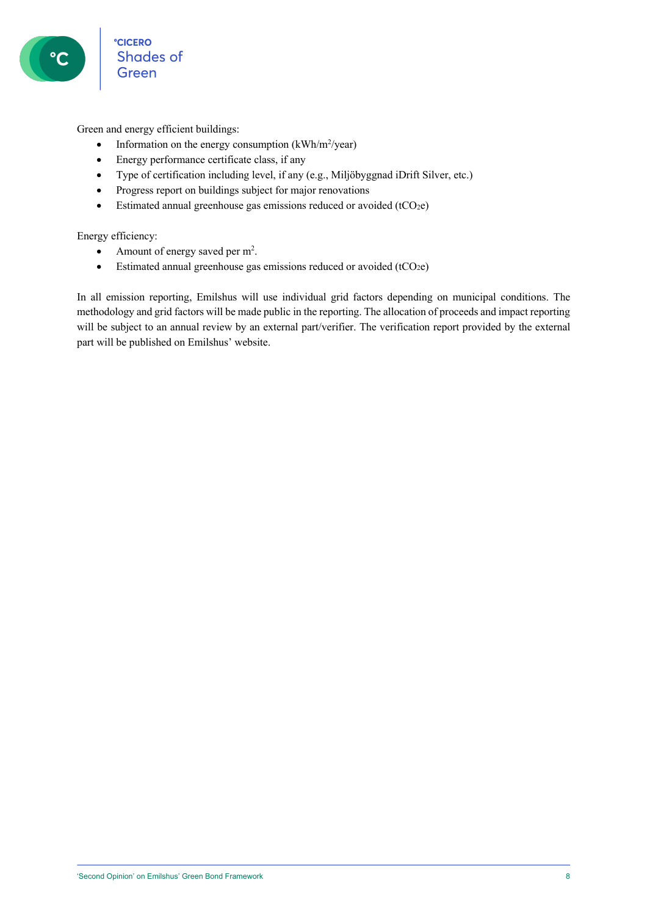Green and energy efficient buildings:

- Information on the energy consumption  $(kWh/m^2/year)$
- Energy performance certificate class, if any
- Type of certification including level, if any (e.g., Miljöbyggnad iDrift Silver, etc.)
- Progress report on buildings subject for major renovations
- Estimated annual greenhouse gas emissions reduced or avoided (tCO<sub>2</sub>e)

Energy efficiency:

- Amount of energy saved per  $m^2$ .
- Estimated annual greenhouse gas emissions reduced or avoided (tCO<sub>2</sub>e)

In all emission reporting, Emilshus will use individual grid factors depending on municipal conditions. The methodology and grid factors will be made public in the reporting. The allocation of proceeds and impact reporting will be subject to an annual review by an external part/verifier. The verification report provided by the external part will be published on Emilshus' website.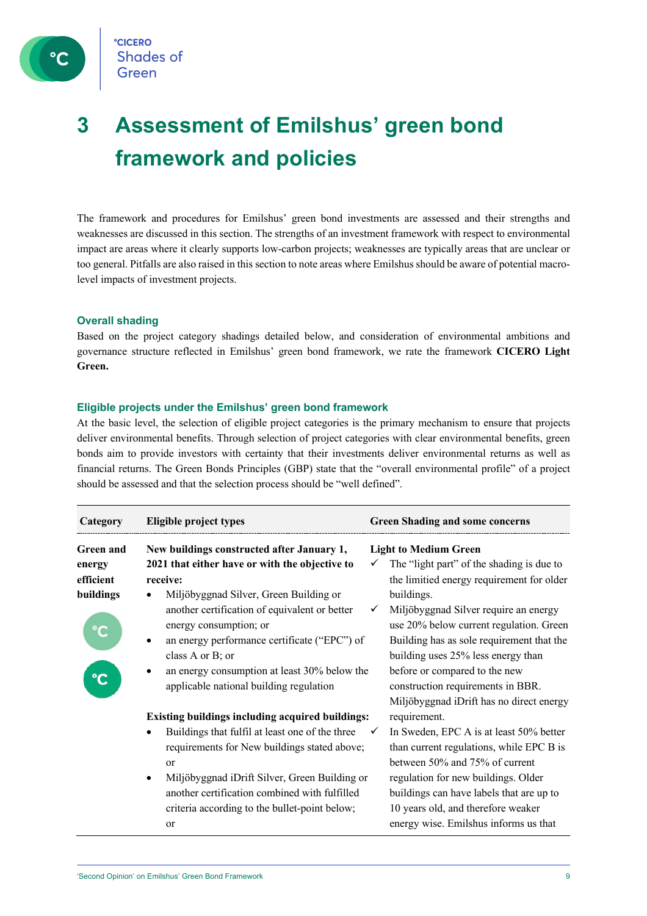

## **3 Assessment of Emilshus' green bond framework and policies**

The framework and procedures for Emilshus' green bond investments are assessed and their strengths and weaknesses are discussed in this section. The strengths of an investment framework with respect to environmental impact are areas where it clearly supports low-carbon projects; weaknesses are typically areas that are unclear or too general. Pitfalls are also raised in this section to note areas where Emilshus should be aware of potential macrolevel impacts of investment projects.

#### **Overall shading**

Based on the project category shadings detailed below, and consideration of environmental ambitions and governance structure reflected in Emilshus' green bond framework, we rate the framework **CICERO Light Green.**

#### **Eligible projects under the Emilshus' green bond framework**

At the basic level, the selection of eligible project categories is the primary mechanism to ensure that projects deliver environmental benefits. Through selection of project categories with clear environmental benefits, green bonds aim to provide investors with certainty that their investments deliver environmental returns as well as financial returns. The Green Bonds Principles (GBP) state that the "overall environmental profile" of a project should be assessed and that the selection process should be "well defined".

| Category                                             | <b>Eligible project types</b>                                                                                                                                                                                                                                                                                                                                                                     | <b>Green Shading and some concerns</b>                                                                                                                                                                                                                                                                                                                                                                                        |
|------------------------------------------------------|---------------------------------------------------------------------------------------------------------------------------------------------------------------------------------------------------------------------------------------------------------------------------------------------------------------------------------------------------------------------------------------------------|-------------------------------------------------------------------------------------------------------------------------------------------------------------------------------------------------------------------------------------------------------------------------------------------------------------------------------------------------------------------------------------------------------------------------------|
| <b>Green and</b><br>energy<br>efficient<br>buildings | New buildings constructed after January 1,<br>2021 that either have or with the objective to<br>receive:<br>Miljöbyggnad Silver, Green Building or<br>another certification of equivalent or better<br>energy consumption; or<br>an energy performance certificate ("EPC") of<br>٠<br>class A or B; or<br>an energy consumption at least 30% below the<br>applicable national building regulation | <b>Light to Medium Green</b><br>The "light part" of the shading is due to<br>the limitied energy requirement for older<br>buildings.<br>Miljöbyggnad Silver require an energy<br>use 20% below current regulation. Green<br>Building has as sole requirement that the<br>building uses 25% less energy than<br>before or compared to the new<br>construction requirements in BBR.<br>Miljöbyggnad iDrift has no direct energy |
|                                                      | <b>Existing buildings including acquired buildings:</b><br>Buildings that fulfil at least one of the three<br>requirements for New buildings stated above;<br><sub>or</sub><br>Miljöbyggnad iDrift Silver, Green Building or<br>another certification combined with fulfilled<br>criteria according to the bullet-point below;<br><b>or</b>                                                       | requirement.<br>In Sweden, EPC A is at least 50% better<br>than current regulations, while EPC B is<br>between 50% and 75% of current<br>regulation for new buildings. Older<br>buildings can have labels that are up to<br>10 years old, and therefore weaker<br>energy wise. Emilshus informs us that                                                                                                                       |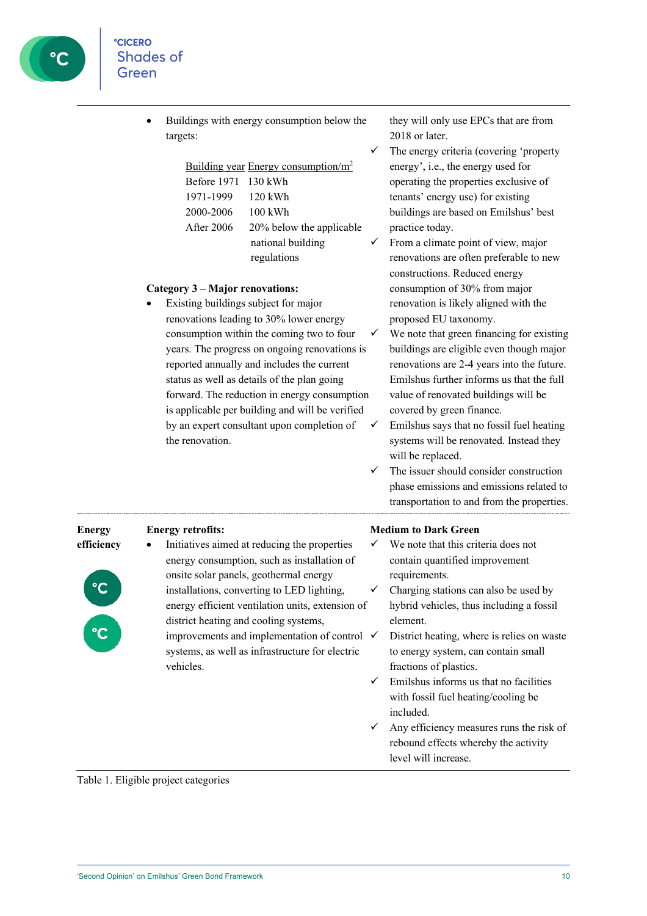• Buildings with energy consumption below the targets:

| Building year Energy consumption/m <sup>2</sup> |                          |  |  |  |  |
|-------------------------------------------------|--------------------------|--|--|--|--|
| Before 1971 130 kWh                             |                          |  |  |  |  |
| 1971-1999                                       | $120$ kWh                |  |  |  |  |
| 2000-2006                                       | $100 \text{ kWh}$        |  |  |  |  |
| After 2006                                      | 20% below the applicable |  |  |  |  |
|                                                 | national building        |  |  |  |  |
|                                                 | regulations              |  |  |  |  |

#### **Category 3 – Major renovations:**

Existing buildings subject for major renovations leading to 30% lower energy consumption within the coming two to four years. The progress on ongoing renovations is reported annually and includes the current status as well as details of the plan going forward. The reduction in energy consumption is applicable per building and will be verified by an expert consultant upon completion of the renovation.

they will only use EPCs that are from 2018 or later.

 $\checkmark$  The energy criteria (covering 'property energy', i.e., the energy used for operating the properties exclusive of tenants' energy use) for existing buildings are based on Emilshus' best practice today.

- From a climate point of view, major renovations are often preferable to new constructions. Reduced energy consumption of 30% from major renovation is likely aligned with the proposed EU taxonomy.
- We note that green financing for existing buildings are eligible even though major renovations are 2-4 years into the future. Emilshus further informs us that the full value of renovated buildings will be covered by green finance.
- $\checkmark$  Emilshus says that no fossil fuel heating systems will be renovated. Instead they will be replaced.
- $\checkmark$  The issuer should consider construction phase emissions and emissions related to transportation to and from the properties.

**Energy efficiency**



#### **Energy retrofits:**

• Initiatives aimed at reducing the properties energy consumption, such as installation of onsite solar panels, geothermal energy installations, converting to LED lighting, energy efficient ventilation units, extension of district heating and cooling systems, improvements and implementation of control  $\checkmark$ systems, as well as infrastructure for electric vehicles.

#### **Medium to Dark Green**

- We note that this criteria does not contain quantified improvement requirements.
- Charging stations can also be used by hybrid vehicles, thus including a fossil element.
- District heating, where is relies on waste to energy system, can contain small fractions of plastics.
- $\checkmark$  Emilshus informs us that no facilities with fossil fuel heating/cooling be included.
- $\checkmark$  Any efficiency measures runs the risk of rebound effects whereby the activity level will increase.

Table 1. Eligible project categories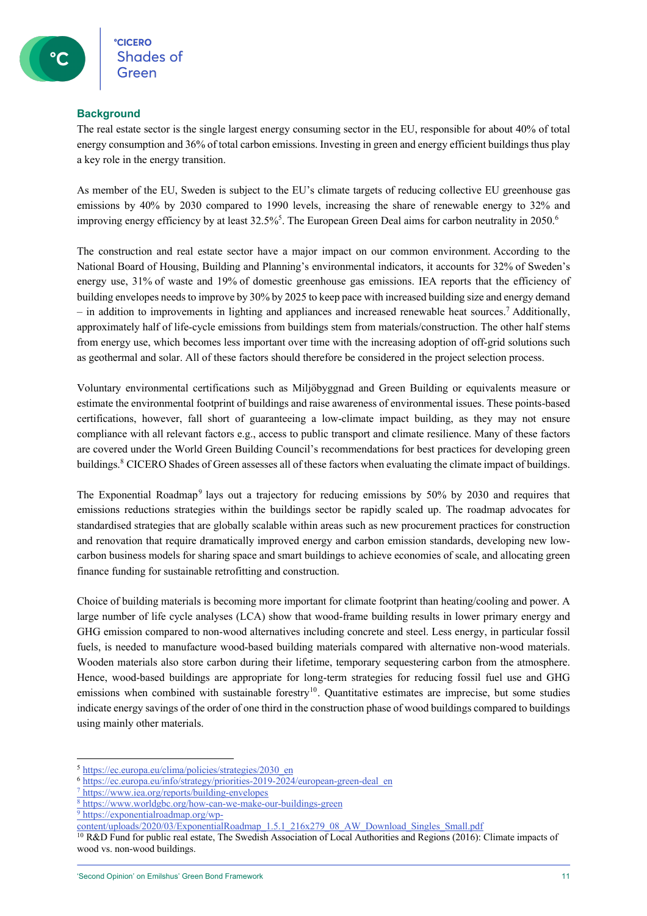#### **Background**

The real estate sector is the single largest energy consuming sector in the EU, responsible for about 40% of total energy consumption and 36% of total carbon emissions. Investing in green and energy efficient buildings thus play a key role in the energy transition.

As member of the EU, Sweden is subject to the EU's climate targets of reducing collective EU greenhouse gas emissions by 40% by 2030 compared to 1990 levels, increasing the share of renewable energy to 32% and improving energy efficiency by at least 32.5%<sup>5</sup>. The European Green Deal aims for carbon neutrality in 2050.<sup>6</sup>

The construction and real estate sector have a major impact on our common environment. According to the National Board of Housing, Building and Planning's environmental indicators, it accounts for 32% of Sweden's energy use, 31% of waste and 19% of domestic greenhouse gas emissions. IEA reports that the efficiency of building envelopes needs to improve by 30% by 2025 to keep pace with increased building size and energy demand – in addition to improvements in lighting and appliances and increased renewable heat sources. <sup>7</sup> Additionally, approximately half of life-cycle emissions from buildings stem from materials/construction. The other half stems from energy use, which becomes less important over time with the increasing adoption of off-grid solutions such as geothermal and solar. All of these factors should therefore be considered in the project selection process.

Voluntary environmental certifications such as Miljöbyggnad and Green Building or equivalents measure or estimate the environmental footprint of buildings and raise awareness of environmental issues. These points-based certifications, however, fall short of guaranteeing a low-climate impact building, as they may not ensure compliance with all relevant factors e.g., access to public transport and climate resilience. Many of these factors are covered under the World Green Building Council's recommendations for best practices for developing green buildings.8 CICERO Shades of Green assesses all of these factors when evaluating the climate impact of buildings.

The Exponential Roadmap<sup>9</sup> lays out a trajectory for reducing emissions by 50% by 2030 and requires that emissions reductions strategies within the buildings sector be rapidly scaled up. The roadmap advocates for standardised strategies that are globally scalable within areas such as new procurement practices for construction and renovation that require dramatically improved energy and carbon emission standards, developing new lowcarbon business models for sharing space and smart buildings to achieve economies of scale, and allocating green finance funding for sustainable retrofitting and construction.

Choice of building materials is becoming more important for climate footprint than heating/cooling and power. A large number of life cycle analyses (LCA) show that wood-frame building results in lower primary energy and GHG emission compared to non-wood alternatives including concrete and steel. Less energy, in particular fossil fuels, is needed to manufacture wood-based building materials compared with alternative non-wood materials. Wooden materials also store carbon during their lifetime, temporary sequestering carbon from the atmosphere. Hence, wood-based buildings are appropriate for long-term strategies for reducing fossil fuel use and GHG emissions when combined with sustainable forestry<sup>10</sup>. Quantitative estimates are imprecise, but some studies indicate energy savings of the order of one third in the construction phase of wood buildings compared to buildings using mainly other materials.

<sup>9</sup> https://exponentialroadmap.org/wp-

<sup>5</sup> https://ec.europa.eu/clima/policies/strategies/2030\_en

<sup>6</sup> https://ec.europa.eu/info/strategy/priorities-2019-2024/european-green-deal\_en

<sup>7</sup> https://www.iea.org/reports/building-envelopes

<sup>8</sup> https://www.worldgbc.org/how-can-we-make-our-buildings-green

content/uploads/2020/03/ExponentialRoadmap\_1.5.1\_216x279\_08\_AW\_Download\_Singles\_Small.pdf

<sup>&</sup>lt;sup>10</sup> R&D Fund for public real estate, The Swedish Association of Local Authorities and Regions (2016): Climate impacts of wood vs. non-wood buildings.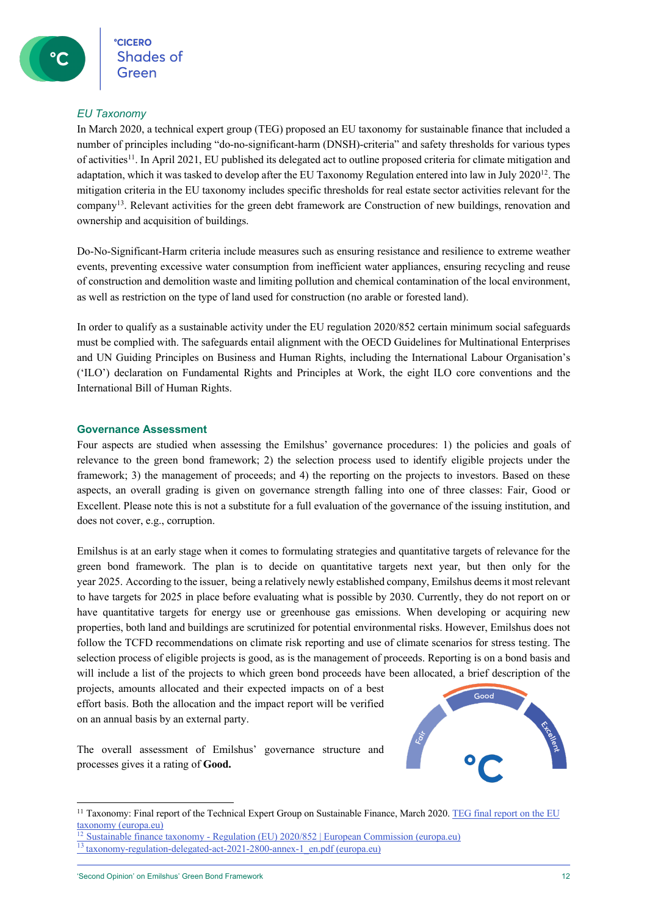#### *EU Taxonomy*

In March 2020, a technical expert group (TEG) proposed an EU taxonomy for sustainable finance that included a number of principles including "do-no-significant-harm (DNSH)-criteria" and safety thresholds for various types of activities11. In April 2021, EU published its delegated act to outline proposed criteria for climate mitigation and adaptation, which it was tasked to develop after the EU Taxonomy Regulation entered into law in July  $2020^{12}$ . The mitigation criteria in the EU taxonomy includes specific thresholds for real estate sector activities relevant for the company13. Relevant activities for the green debt framework are Construction of new buildings, renovation and ownership and acquisition of buildings.

Do-No-Significant-Harm criteria include measures such as ensuring resistance and resilience to extreme weather events, preventing excessive water consumption from inefficient water appliances, ensuring recycling and reuse of construction and demolition waste and limiting pollution and chemical contamination of the local environment, as well as restriction on the type of land used for construction (no arable or forested land).

In order to qualify as a sustainable activity under the EU regulation 2020/852 certain minimum social safeguards must be complied with. The safeguards entail alignment with the OECD Guidelines for Multinational Enterprises and UN Guiding Principles on Business and Human Rights, including the International Labour Organisation's ('ILO') declaration on Fundamental Rights and Principles at Work, the eight ILO core conventions and the International Bill of Human Rights.

#### **Governance Assessment**

Four aspects are studied when assessing the Emilshus' governance procedures: 1) the policies and goals of relevance to the green bond framework; 2) the selection process used to identify eligible projects under the framework; 3) the management of proceeds; and 4) the reporting on the projects to investors. Based on these aspects, an overall grading is given on governance strength falling into one of three classes: Fair, Good or Excellent. Please note this is not a substitute for a full evaluation of the governance of the issuing institution, and does not cover, e.g., corruption.

Emilshus is at an early stage when it comes to formulating strategies and quantitative targets of relevance for the green bond framework. The plan is to decide on quantitative targets next year, but then only for the year 2025. According to the issuer, being a relatively newly established company, Emilshus deems it most relevant to have targets for 2025 in place before evaluating what is possible by 2030. Currently, they do not report on or have quantitative targets for energy use or greenhouse gas emissions. When developing or acquiring new properties, both land and buildings are scrutinized for potential environmental risks. However, Emilshus does not follow the TCFD recommendations on climate risk reporting and use of climate scenarios for stress testing. The selection process of eligible projects is good, as is the management of proceeds. Reporting is on a bond basis and will include a list of the projects to which green bond proceeds have been allocated, a brief description of the

projects, amounts allocated and their expected impacts on of a best effort basis. Both the allocation and the impact report will be verified on an annual basis by an external party.

The overall assessment of Emilshus' governance structure and processes gives it a rating of **Good.**



<sup>&</sup>lt;sup>11</sup> Taxonomy: Final report of the Technical Expert Group on Sustainable Finance, March 2020. TEG final report on the EU  $\frac{\text{taxonomy (europa.eu)}}{12 \text{ Syst}}$ 

<sup>12</sup> Sustainable finance taxonomy - Regulation (EU) 2020/852 | European Commission (europa.eu) <sup>13</sup> taxonomy-regulation-delegated-act-2021-2800-annex-1\_en.pdf (europa.eu)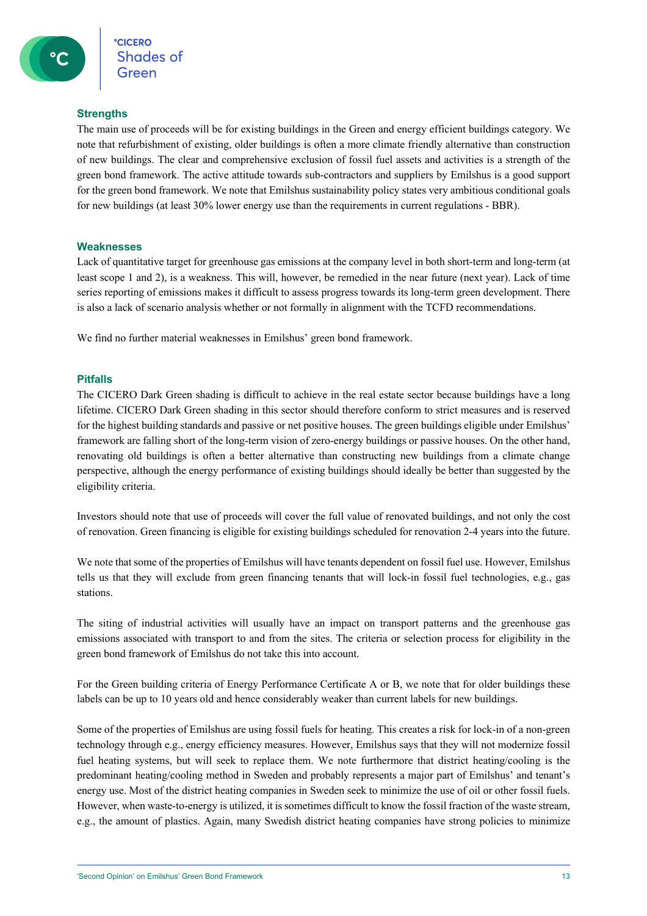#### **Strengths**

The main use of proceeds will be for existing buildings in the Green and energy efficient buildings category. We note that refurbishment of existing, older buildings is often a more climate friendly alternative than construction of new buildings. The clear and comprehensive exclusion of fossil fuel assets and activities is a strength of the green bond framework. The active attitude towards sub-contractors and suppliers by Emilshus is a good support for the green bond framework. We note that Emilshus sustainability policy states very ambitious conditional goals for new buildings (at least 30% lower energy use than the requirements in current regulations - BBR).

#### **Weaknesses**

Lack of quantitative target for greenhouse gas emissions at the company level in both short-term and long-term (at least scope 1 and 2), is a weakness. This will, however, be remedied in the near future (next year). Lack of time series reporting of emissions makes it difficult to assess progress towards its long-term green development. There is also a lack of scenario analysis whether or not formally in alignment with the TCFD recommendations.

We find no further material weaknesses in Emilshus' green bond framework.

#### **Pitfalls**

The CICERO Dark Green shading is difficult to achieve in the real estate sector because buildings have a long lifetime. CICERO Dark Green shading in this sector should therefore conform to strict measures and is reserved for the highest building standards and passive or net positive houses. The green buildings eligible under Emilshus' framework are falling short of the long-term vision of zero-energy buildings or passive houses. On the other hand, renovating old buildings is often a better alternative than constructing new buildings from a climate change perspective, although the energy performance of existing buildings should ideally be better than suggested by the eligibility criteria.

Investors should note that use of proceeds will cover the full value of renovated buildings, and not only the cost of renovation. Green financing is eligible for existing buildings scheduled for renovation 2-4 years into the future.

We note that some of the properties of Emilshus will have tenants dependent on fossil fuel use. However, Emilshus tells us that they will exclude from green financing tenants that will lock-in fossil fuel technologies, e.g., gas stations.

The siting of industrial activities will usually have an impact on transport patterns and the greenhouse gas emissions associated with transport to and from the sites. The criteria or selection process for eligibility in the green bond framework of Emilshus do not take this into account.

For the Green building criteria of Energy Performance Certificate A or B, we note that for older buildings these labels can be up to 10 years old and hence considerably weaker than current labels for new buildings.

Some of the properties of Emilshus are using fossil fuels for heating. This creates a risk for lock-in of a non-green technology through e.g., energy efficiency measures. However, Emilshus says that they will not modernize fossil fuel heating systems, but will seek to replace them. We note furthermore that district heating/cooling is the predominant heating/cooling method in Sweden and probably represents a major part of Emilshus' and tenant's energy use. Most of the district heating companies in Sweden seek to minimize the use of oil or other fossil fuels. However, when waste-to-energy is utilized, it is sometimes difficult to know the fossil fraction of the waste stream, e.g., the amount of plastics. Again, many Swedish district heating companies have strong policies to minimize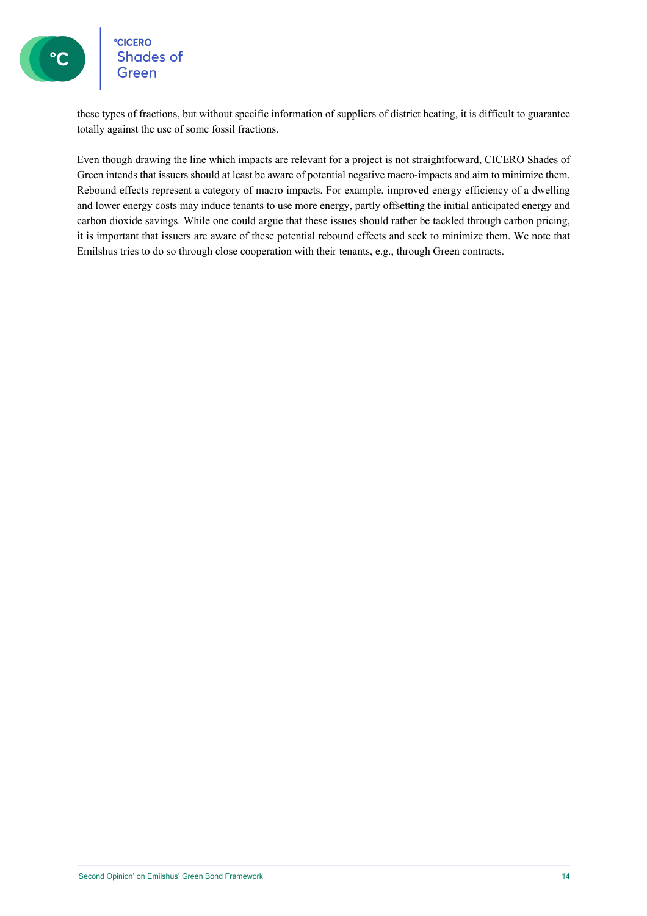**CICERO**<br>Shades of Green

these types of fractions, but without specific information of suppliers of district heating, it is difficult to guarantee totally against the use of some fossil fractions.

Even though drawing the line which impacts are relevant for a project is not straightforward, CICERO Shades of Green intends that issuers should at least be aware of potential negative macro-impacts and aim to minimize them. Rebound effects represent a category of macro impacts. For example, improved energy efficiency of a dwelling and lower energy costs may induce tenants to use more energy, partly offsetting the initial anticipated energy and carbon dioxide savings. While one could argue that these issues should rather be tackled through carbon pricing, it is important that issuers are aware of these potential rebound effects and seek to minimize them. We note that Emilshus tries to do so through close cooperation with their tenants, e.g., through Green contracts.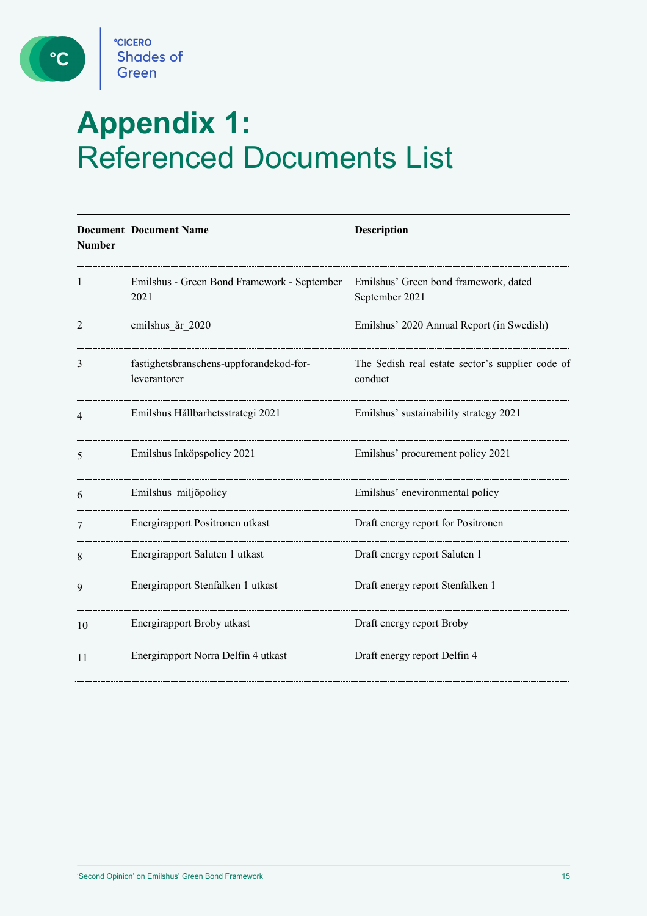

 $\circ$ 

# **Appendix 1:**  Referenced Documents List

| <b>Number</b> | <b>Document Document Name</b>                           | Description                                                 |
|---------------|---------------------------------------------------------|-------------------------------------------------------------|
| 1             | Emilshus - Green Bond Framework - September<br>2021     | Emilshus' Green bond framework, dated<br>September 2021     |
| 2             | emilshus år 2020                                        | Emilshus' 2020 Annual Report (in Swedish)                   |
| 3             | fastighetsbranschens-uppforandekod-for-<br>leverantorer | The Sedish real estate sector's supplier code of<br>conduct |
| 4             | Emilshus Hållbarhetsstrategi 2021                       | Emilshus' sustainability strategy 2021                      |
| 5             | Emilshus Inköpspolicy 2021                              | Emilshus' procurement policy 2021                           |
| 6             | Emilshus miljöpolicy                                    | Emilshus' enevironmental policy                             |
| 7             | Energirapport Positronen utkast                         | Draft energy report for Positronen                          |
| 8             | Energirapport Saluten 1 utkast                          | Draft energy report Saluten 1                               |
| 9             | Energirapport Stenfalken 1 utkast                       | Draft energy report Stenfalken 1                            |
| 10            | Energirapport Broby utkast                              | Draft energy report Broby                                   |
| 11            | Energirapport Norra Delfin 4 utkast                     | Draft energy report Delfin 4                                |